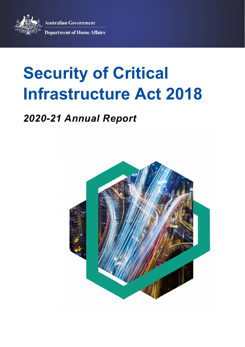**Australian Government Department of Home Affairs** 



# **Security of Critical Infrastructure Act 2018**

# *2020-21 Annual Report*

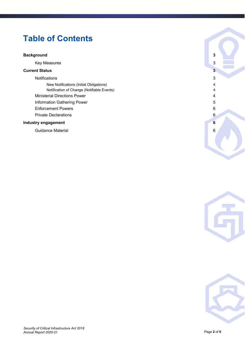# **Table of Contents**

#### **[Background 3](#page-2-0)**

**Key Measures** 3

#### **[Current Status 3](#page-2-2)**

[Notifications 3](#page-2-3)

[New Notifications \(Initial Obligations\) 4](#page-3-0) [Notification of Change \(Notifiable Events\) 4](#page-3-1) [Ministerial Directions Power 4](#page-3-2) [Information Gathering Power 5](#page-4-0) [Enforcement Powers 6](#page-5-0) [Private Declarations 6](#page-5-1)

#### **Industry engagement** 6

[Guidance Material 6](#page-5-3)





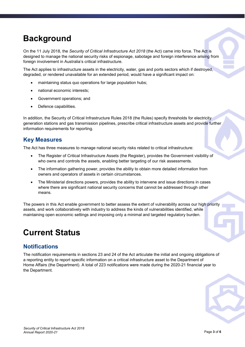# <span id="page-2-0"></span>**Background**

On the 11 July 2018, the *Security of Critical Infrastructure Act 2018* (the Act) came into force. The Act is designed to manage the national security risks of espionage, sabotage and foreign interference arising from foreign involvement in Australia's critical infrastructure.

The Act applies to infrastructure assets in the electricity, water, gas and ports sectors which if destroyed, degraded, or rendered unavailable for an extended period, would have a significant impact on:

- maintaining status quo operations for large population hubs;
- national economic interests;
- Government operations; and
- Defence capabilities.

In addition, the Security of Critical Infrastructure Rules 2018 (the Rules) specify thresholds for electricity generation stations and gas transmission pipelines, prescribe critical infrastructure assets and provide further information requirements for reporting.

### <span id="page-2-1"></span>**Key Measures**

The Act has three measures to manage national security risks related to critical infrastructure:

- The Register of Critical Infrastructure Assets (the Register), provides the Government visibility of who owns and controls the assets, enabling better targeting of our risk assessments.
- The information gathering power, provides the ability to obtain more detailed information from owners and operators of assets in certain circumstances.
- The Ministerial directions powers, provides the ability to intervene and issue directions in cases where there are significant national security concerns that cannot be addressed through other means.

The powers in this Act enable government to better assess the extent of vulnerability across our high priority assets, and work collaboratively with industry to address the kinds of vulnerabilities identified, while maintaining open economic settings and imposing only a minimal and targeted regulatory burden.

# <span id="page-2-2"></span>**Current Status**

### <span id="page-2-3"></span>**Notifications**

The notification requirements in sections 23 and 24 of the Act articulate the initial and ongoing obligations of a reporting entity to report specific information on a critical infrastructure asset to the Department of Home Affairs (the Department). A total of 223 notifications were made during the 2020-21 financial year to the Department.

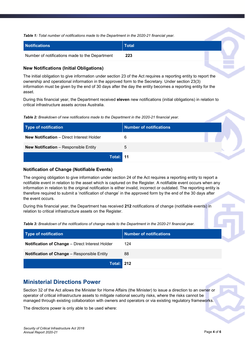*Table 1: Total number of notifications made to the Department in the 2020-21 financial year.* 

| <b>Notifications</b>                           | Total |  |
|------------------------------------------------|-------|--|
| Number of notifications made to the Department | 223   |  |

#### <span id="page-3-0"></span>**New Notifications (Initial Obligations)**

The initial obligation to give information under section 23 of the Act requires a reporting entity to report the ownership and operational information in the approved form to the Secretary. Under section 23(3) information must be given by the end of 30 days after the day the entity becomes a reporting entity for the asset.

During this financial year, the Department received **eleven** new notifications (initial obligations) in relation to critical infrastructure assets across Australia.

*Table 2: Breakdown of new notifications made to the Department in the 2020-21 financial year.* 

| Type of notification                             | <b>Number of notifications</b> |  |
|--------------------------------------------------|--------------------------------|--|
| <b>New Notification</b> – Direct Interest Holder | 6                              |  |
| <b>New Notification</b> - Responsible Entity     | 5                              |  |
| Total: 11                                        |                                |  |

#### <span id="page-3-1"></span>**Notification of Change (Notifiable Events)**

The ongoing obligation to give information under section 24 of the Act requires a reporting entity to report a notifiable event in relation to the asset which is captured on the Register. A notifiable event occurs when any information in relation to the original notification is either invalid, incorrect or outdated. The reporting entity is therefore required to submit a 'notification of change' in the approved form by the end of the 30 days after the event occurs.

During this financial year, the Department has received **212** notifications of change (notifiable events) in relation to critical infrastructure assets on the Register.

*Table 3: Breakdown of the notifications of change made to the Department in the 2020-21 financial year.* 

| Type of notification                               | Number of notifications |  |
|----------------------------------------------------|-------------------------|--|
| Notification of Change - Direct Interest Holder    | 124                     |  |
| <b>Notification of Change - Responsible Entity</b> | 88                      |  |
| <b>Total: 212</b>                                  |                         |  |

### <span id="page-3-2"></span>**Ministerial Directions Power**

Section 32 of the Act allows the Minister for Home Affairs (the Minister) to issue a direction to an owner or operator of critical infrastructure assets to mitigate national security risks, where the risks cannot be managed through existing collaboration with owners and operators or via existing regulatory frameworks.

The directions power is only able to be used where: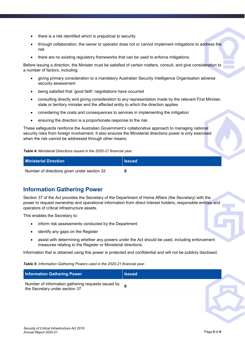- there is a risk identified which is prejudicial to security
- through collaboration, the owner or operator does not or cannot implement mitigations to address the risk
- there are no existing regulatory frameworks that can be used to enforce mitigations.

Before issuing a direction, the Minister must be satisfied of certain matters, consult, and give consideration to a number of factors, including:

- giving primary consideration to a mandatory Australian Security Intelligence Organisation adverse security assessment
- being satisfied that 'good faith' negotiations have occurred
- consulting directly and giving consideration to any representation made by the relevant First Minister, state or territory minister and the affected entity to which the direction applies
- considering the costs and consequences to services in implementing the mitigation
- ensuring the direction is a proportionate response to the risk.

These safeguards reinforce the Australian Government's collaborative approach to managing national security risks from foreign involvement. It also ensures the Ministerial directions power is only exercised when the risk cannot be addressed through other means.

*Table 4: Ministerial Directions issued in the 2020-21 financial year.* 

| <b>Ministerial Direction</b>                | <b>I</b> ssued |
|---------------------------------------------|----------------|
| Number of directions given under section 32 |                |

## <span id="page-4-0"></span>**Information Gathering Power**

Section 37 of the Act provides the Secretary of the Department of Home Affairs (the Secretary) with the power to request ownership and operational information from direct interest holders, responsible entities and operators of critical infrastructure assets.

This enables the Secretary to:

- inform risk assessments conducted by the Department
- identify any gaps on the Register
- assist with determining whether any powers under the Act should be used, including enforcement measures relating to the Register or Ministerial directions.

Information that is obtained using this power is protected and confidential and will not be publicly disclosed.

*Table 5: Information Gathering Powers used in the 2020-21 financial year.* 

| <b>Information Gathering Power</b>                                                 | <b>Issued</b> |  |
|------------------------------------------------------------------------------------|---------------|--|
| Number of information gathering requests issued by othe Secretary under section 37 |               |  |
|                                                                                    |               |  |